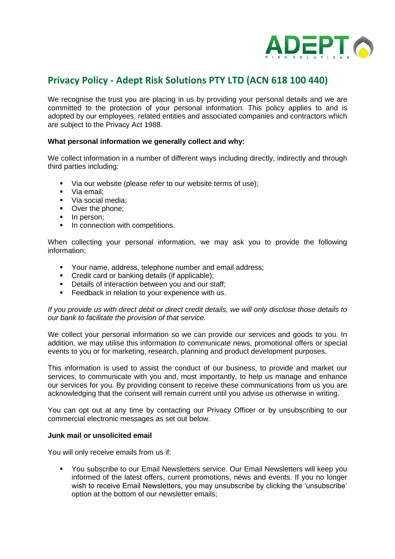

# **Privacy Policy - Adept Risk Solutions PTY LTD (ACN 618 100 440)**

We recognise the trust you are placing in us by providing your personal details and we are committed to the protection of your personal information. This policy applies to and is adopted by our employees, related entities and associated companies and contractors which are subject to the Privacy Act 1988.

### **What personal information we generally collect and why:**

We collect information in a number of different ways including directly, indirectly and through third parties including:

- Via our website (please refer to our website terms of use);
- Via email:
- Via social media;
- Over the phone;
- **·** In person;
- **•** In connection with competitions.

When collecting your personal information, we may ask you to provide the following information:

- Your name, address, telephone number and email address;
- Credit card or banking details (if applicable);
- **•** Details of interaction between you and our staff;
- Feedback in relation to your experience with us.

*If you provide us with direct debit or direct credit details, we will only disclose those details to our bank to facilitate the provision of that service.*

We collect your personal information so we can provide our services and goods to you. In addition, we may utilise this information to communicate news, promotional offers or special events to you or for marketing, research, planning and product development purposes.

This information is used to assist the conduct of our business, to provide and market our services, to communicate with you and, most importantly, to help us manage and enhance our services for you. By providing consent to receive these communications from us you are acknowledging that the consent will remain current until you advise us otherwise in writing.

You can opt out at any time by contacting our Privacy Officer or by unsubscribing to our commercial electronic messages as set out below.

## **Junk mail or unsolicited email**

You will only receive emails from us if:

You subscribe to our Email Newsletters service. Our Email Newsletters will keep you informed of the latest offers, current promotions, news and events. If you no longer wish to receive Email Newsletters, you may unsubscribe by clicking the 'unsubscribe' option at the bottom of our newsletter emails;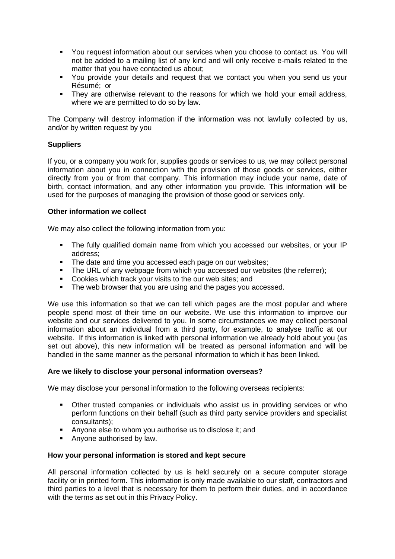- You request information about our services when you choose to contact us. You will not be added to a mailing list of any kind and will only receive e-mails related to the matter that you have contacted us about;
- You provide your details and request that we contact you when you send us your Résumé; or
- **•** They are otherwise relevant to the reasons for which we hold your email address, where we are permitted to do so by law.

The Company will destroy information if the information was not lawfully collected by us, and/or by written request by you

## **Suppliers**

If you, or a company you work for, supplies goods or services to us, we may collect personal information about you in connection with the provision of those goods or services, either directly from you or from that company. This information may include your name, date of birth, contact information, and any other information you provide. This information will be used for the purposes of managing the provision of those good or services only.

## **Other information we collect**

We may also collect the following information from you:

- The fully qualified domain name from which you accessed our websites, or your IP address;
- **.** The date and time you accessed each page on our websites;
- The URL of any webpage from which you accessed our websites (the referrer);
- Cookies which track your visits to the our web sites; and
- The web browser that you are using and the pages you accessed.

We use this information so that we can tell which pages are the most popular and where people spend most of their time on our website. We use this information to improve our website and our services delivered to you. In some circumstances we may collect personal information about an individual from a third party, for example, to analyse traffic at our website. If this information is linked with personal information we already hold about you (as set out above), this new information will be treated as personal information and will be handled in the same manner as the personal information to which it has been linked.

## **Are we likely to disclose your personal information overseas?**

We may disclose your personal information to the following overseas recipients:

- Other trusted companies or individuals who assist us in providing services or who perform functions on their behalf (such as third party service providers and specialist consultants);
- Anyone else to whom you authorise us to disclose it; and
- Anyone authorised by law.

#### **How your personal information is stored and kept secure**

All personal information collected by us is held securely on a secure computer storage facility or in printed form. This information is only made available to our staff, contractors and third parties to a level that is necessary for them to perform their duties, and in accordance with the terms as set out in this Privacy Policy.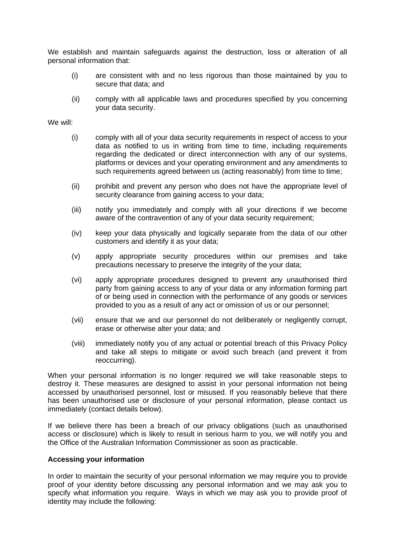We establish and maintain safeguards against the destruction, loss or alteration of all personal information that:

- (i) are consistent with and no less rigorous than those maintained by you to secure that data; and
- (ii) comply with all applicable laws and procedures specified by you concerning your data security.

We will:

- (i) comply with all of your data security requirements in respect of access to your data as notified to us in writing from time to time, including requirements regarding the dedicated or direct interconnection with any of our systems, platforms or devices and your operating environment and any amendments to such requirements agreed between us (acting reasonably) from time to time;
- (ii) prohibit and prevent any person who does not have the appropriate level of security clearance from gaining access to your data;
- (iii) notify you immediately and comply with all your directions if we become aware of the contravention of any of your data security requirement;
- (iv) keep your data physically and logically separate from the data of our other customers and identify it as your data;
- (v) apply appropriate security procedures within our premises and take precautions necessary to preserve the integrity of the your data;
- (vi) apply appropriate procedures designed to prevent any unauthorised third party from gaining access to any of your data or any information forming part of or being used in connection with the performance of any goods or services provided to you as a result of any act or omission of us or our personnel;
- (vii) ensure that we and our personnel do not deliberately or negligently corrupt, erase or otherwise alter your data; and
- (viii) immediately notify you of any actual or potential breach of this Privacy Policy and take all steps to mitigate or avoid such breach (and prevent it from reoccurring).

When your personal information is no longer required we will take reasonable steps to destroy it. These measures are designed to assist in your personal information not being accessed by unauthorised personnel, lost or misused. If you reasonably believe that there has been unauthorised use or disclosure of your personal information, please contact us immediately (contact details below).

If we believe there has been a breach of our privacy obligations (such as unauthorised access or disclosure) which is likely to result in serious harm to you, we will notify you and the Office of the Australian Information Commissioner as soon as practicable.

#### **Accessing your information**

In order to maintain the security of your personal information we may require you to provide proof of your identity before discussing any personal information and we may ask you to specify what information you require. Ways in which we may ask you to provide proof of identity may include the following: